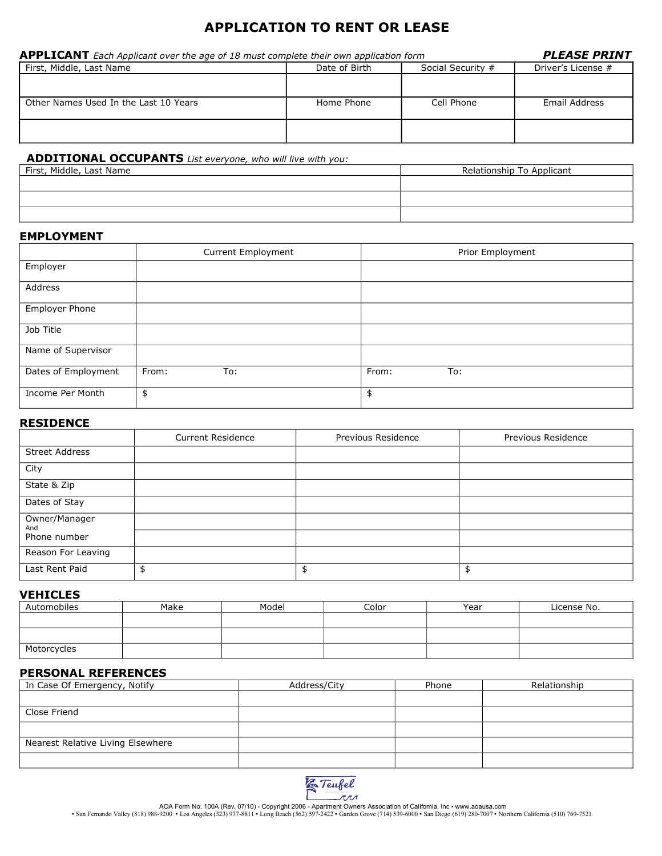# **APPLICATION TO RENT OR LEASE**

| <b>APPLICANT</b> Each Applicant over the age of 18 must complete their own application form | <b>PLEASE PRINT</b> |                   |                    |
|---------------------------------------------------------------------------------------------|---------------------|-------------------|--------------------|
| First, Middle, Last Name                                                                    | Date of Birth       | Social Security # | Driver's License # |
|                                                                                             |                     |                   |                    |
| Other Names Used In the Last 10 Years                                                       | Home Phone          | Cell Phone        | Email Address      |
|                                                                                             |                     |                   |                    |
|                                                                                             |                     |                   |                    |

# **ADDITIONAL OCCUPANTS** *List everyone, who will live with you:*

| First, Middle, Last Name | Relationship To Applicant |
|--------------------------|---------------------------|
|                          |                           |
|                          |                           |
|                          |                           |

### **EMPLOYMENT**

|                       | Current Employment | Prior Employment |
|-----------------------|--------------------|------------------|
| Employer              |                    |                  |
| Address               |                    |                  |
| <b>Employer Phone</b> |                    |                  |
| Job Title             |                    |                  |
| Name of Supervisor    |                    |                  |
| Dates of Employment   | From:<br>To:       | From:<br>To:     |
| Income Per Month      | \$                 | \$               |

# **RESIDENCE**

|                       | <b>Current Residence</b> | Previous Residence | Previous Residence |
|-----------------------|--------------------------|--------------------|--------------------|
| <b>Street Address</b> |                          |                    |                    |
| City                  |                          |                    |                    |
| State & Zip           |                          |                    |                    |
| Dates of Stay         |                          |                    |                    |
| Owner/Manager<br>And  |                          |                    |                    |
| Phone number          |                          |                    |                    |
| Reason For Leaving    |                          |                    |                    |
| Last Rent Paid        |                          | \$                 | \$                 |

## **VEHICLES**

| Automobiles | Make | Model | Color | Year | License No. |
|-------------|------|-------|-------|------|-------------|
|             |      |       |       |      |             |
|             |      |       |       |      |             |
| Motorcycles |      |       |       |      |             |

# **PERSONAL REFERENCES**

| In Case Of Emergency, Notify      | Address/City | Phone | Relationship |
|-----------------------------------|--------------|-------|--------------|
|                                   |              |       |              |
| Close Friend                      |              |       |              |
|                                   |              |       |              |
| Nearest Relative Living Elsewhere |              |       |              |
|                                   |              |       |              |



AOA Form No. 100A (Rev. 07/10) - Copyright 2006 - Apartment Owners Association of California, Inc • www.aoausa.com<br>San Fernando Valley (818) 988-9200 • Los Angeles (323) 937-8811 • Long Beach (562) 597-2422 • Garden Grove